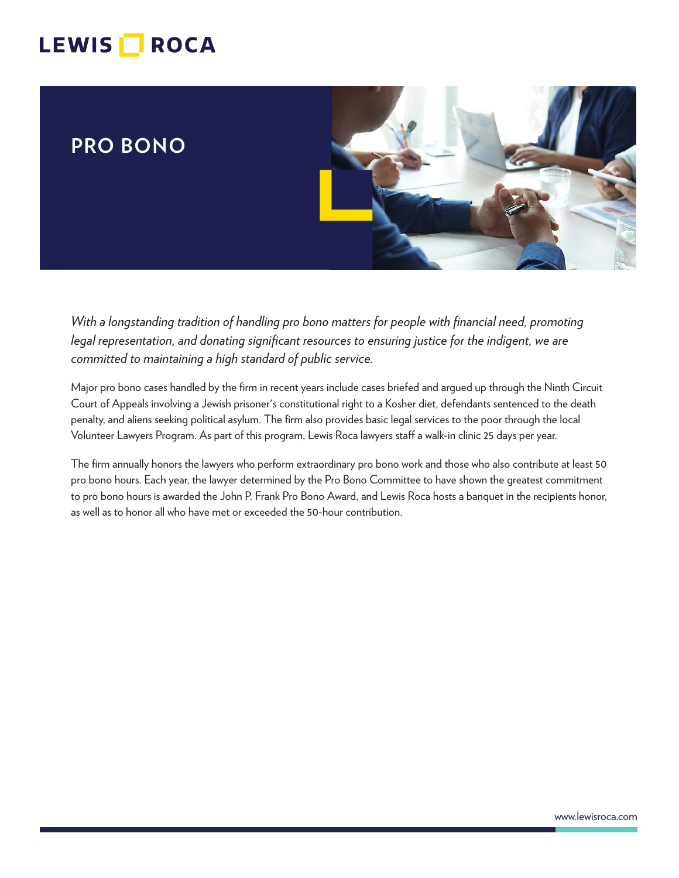# LEWIS **NOCA**

## **PRO BONO**



*With a longstanding tradition of handling pro bono matters for people with financial need, promoting legal representation, and donating significant resources to ensuring justice for the indigent, we are committed to maintaining a high standard of public service.* 

Major pro bono cases handled by the firm in recent years include cases briefed and argued up through the Ninth Circuit Court of Appeals involving a Jewish prisoner's constitutional right to a Kosher diet, defendants sentenced to the death penalty, and aliens seeking political asylum. The firm also provides basic legal services to the poor through the local Volunteer Lawyers Program. As part of this program, Lewis Roca lawyers staff a walk-in clinic 25 days per year.

The firm annually honors the lawyers who perform extraordinary pro bono work and those who also contribute at least 50 pro bono hours. Each year, the lawyer determined by the Pro Bono Committee to have shown the greatest commitment to pro bono hours is awarded the John P. Frank Pro Bono Award, and Lewis Roca hosts a banquet in the recipients honor, as well as to honor all who have met or exceeded the 50-hour contribution.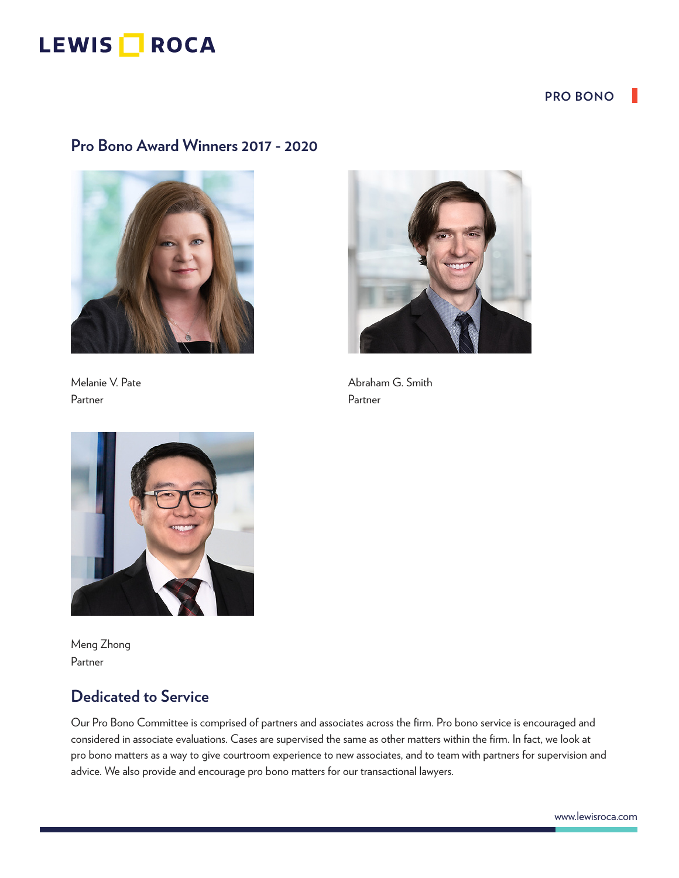## LEWIS **ROCA**

#### **PRO BONO**

### **Pro Bono Award Winners 2017 - 2020**



Partner Partner



Melanie V. Pate Abraham G. Smith



Meng Zhong Partner

## **Dedicated to Service**

Our Pro Bono Committee is comprised of partners and associates across the firm. Pro bono service is encouraged and considered in associate evaluations. Cases are supervised the same as other matters within the firm. In fact, we look at pro bono matters as a way to give courtroom experience to new associates, and to team with partners for supervision and advice. We also provide and encourage pro bono matters for our transactional lawyers.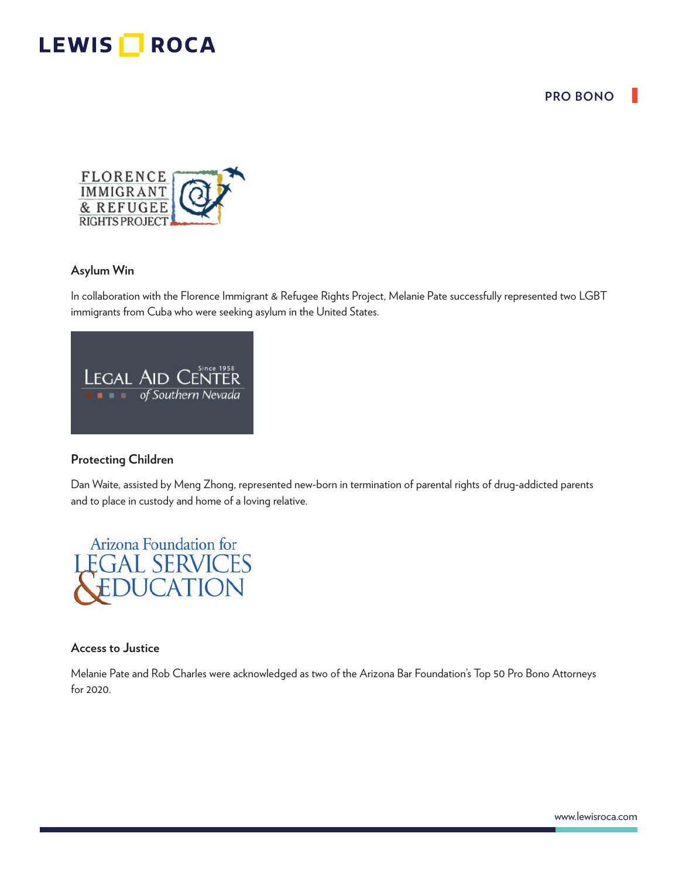## LEWIS **ROCA**

#### **PRO BONO**



#### **Asylum Win**

In collaboration with the Florence Immigrant & Refugee Rights Project, Melanie Pate successfully represented two LGBT immigrants from Cuba who were seeking asylum in the United States.

|  | <b>Since 1958</b><br><b>LEGAL AID CENTER</b> |
|--|----------------------------------------------|
|  | <b>FF f of Southern Nevada</b>               |
|  |                                              |

#### **Protecting Children**

Dan Waite, assisted by Meng Zhong, represented new-born in termination of parental rights of drug-addicted parents and to place in custody and home of a loving relative.



#### **Access to Justice**

Melanie Pate and Rob Charles were acknowledged as two of the Arizona Bar Foundation's Top 50 Pro Bono Attorneys for 2020.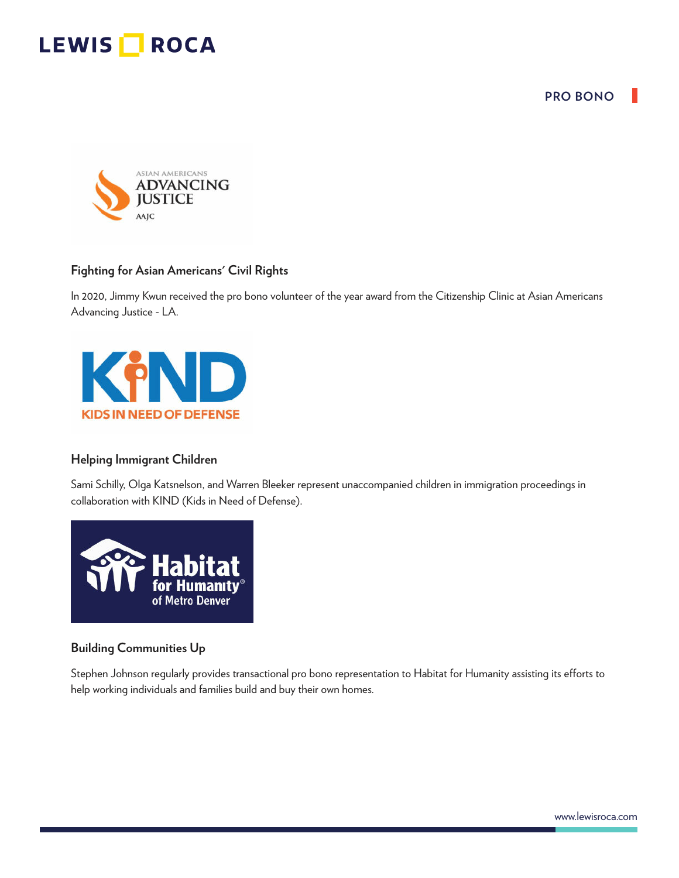**PRO BONO**





#### **Fighting for Asian Americans' Civil Rights**

In 2020, Jimmy Kwun received the pro bono volunteer of the year award from the Citizenship Clinic at Asian Americans Advancing Justice - LA.



#### **Helping Immigrant Children**

Sami Schilly, Olga Katsnelson, and Warren Bleeker represent unaccompanied children in immigration proceedings in collaboration with KIND (Kids in Need of Defense).



#### **Building Communities Up**

Stephen Johnson regularly provides transactional pro bono representation to Habitat for Humanity assisting its efforts to help working individuals and families build and buy their own homes.